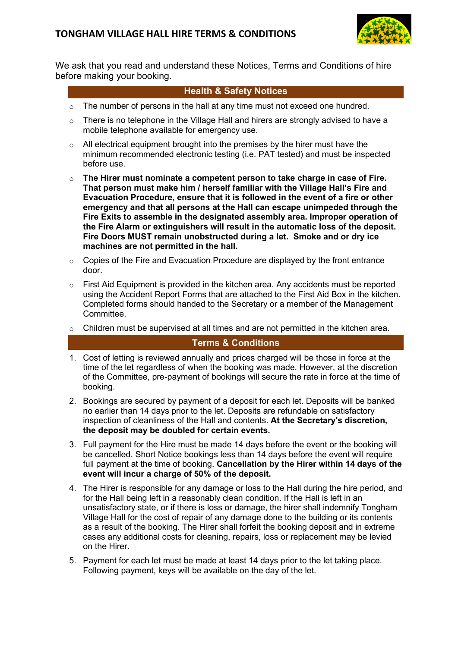

We ask that you read and understand these Notices, Terms and Conditions of hire before making your booking.

## **Health & Safety Notices**

- $\circ$  The number of persons in the hall at any time must not exceed one hundred.
- $\circ$  There is no telephone in the Village Hall and hirers are strongly advised to have a mobile telephone available for emergency use.
- $\circ$  All electrical equipment brought into the premises by the hirer must have the minimum recommended electronic testing (i.e. PAT tested) and must be inspected before use.
- o **The Hirer must nominate a competent person to take charge in case of Fire. That person must make him / herself familiar with the Village Hall's Fire and Evacuation Procedure, ensure that it is followed in the event of a fire or other emergency and that all persons at the Hall can escape unimpeded through the Fire Exits to assemble in the designated assembly area. Improper operation of the Fire Alarm or extinguishers will result in the automatic loss of the deposit. Fire Doors MUST remain unobstructed during a let. Smoke and or dry ice machines are not permitted in the hall.**
- $\circ$  Copies of the Fire and Evacuation Procedure are displayed by the front entrance door.
- $\circ$  First Aid Equipment is provided in the kitchen area. Any accidents must be reported using the Accident Report Forms that are attached to the First Aid Box in the kitchen. Completed forms should handed to the Secretary or a member of the Management Committee.
- $\circ$  Children must be supervised at all times and are not permitted in the kitchen area.

## **Terms & Conditions**

- 1. Cost of letting is reviewed annually and prices charged will be those in force at the time of the let regardless of when the booking was made. However, at the discretion of the Committee, pre-payment of bookings will secure the rate in force at the time of booking.
- 2. Bookings are secured by payment of a deposit for each let. Deposits will be banked no earlier than 14 days prior to the let. Deposits are refundable on satisfactory inspection of cleanliness of the Hall and contents. **At the Secretary's discretion, the deposit may be doubled for certain events.**
- 3. Full payment for the Hire must be made 14 days before the event or the booking will be cancelled. Short Notice bookings less than 14 days before the event will require full payment at the time of booking. **Cancellation by the Hirer within 14 days of the event will incur a charge of 50% of the deposit.**
- 4. The Hirer is responsible for any damage or loss to the Hall during the hire period, and for the Hall being left in a reasonably clean condition. If the Hall is left in an unsatisfactory state, or if there is loss or damage, the hirer shall indemnify Tongham Village Hall for the cost of repair of any damage done to the building or its contents as a result of the booking. The Hirer shall forfeit the booking deposit and in extreme cases any additional costs for cleaning, repairs, loss or replacement may be levied on the Hirer.
- 5. Payment for each let must be made at least 14 days prior to the let taking place. Following payment, keys will be available on the day of the let.